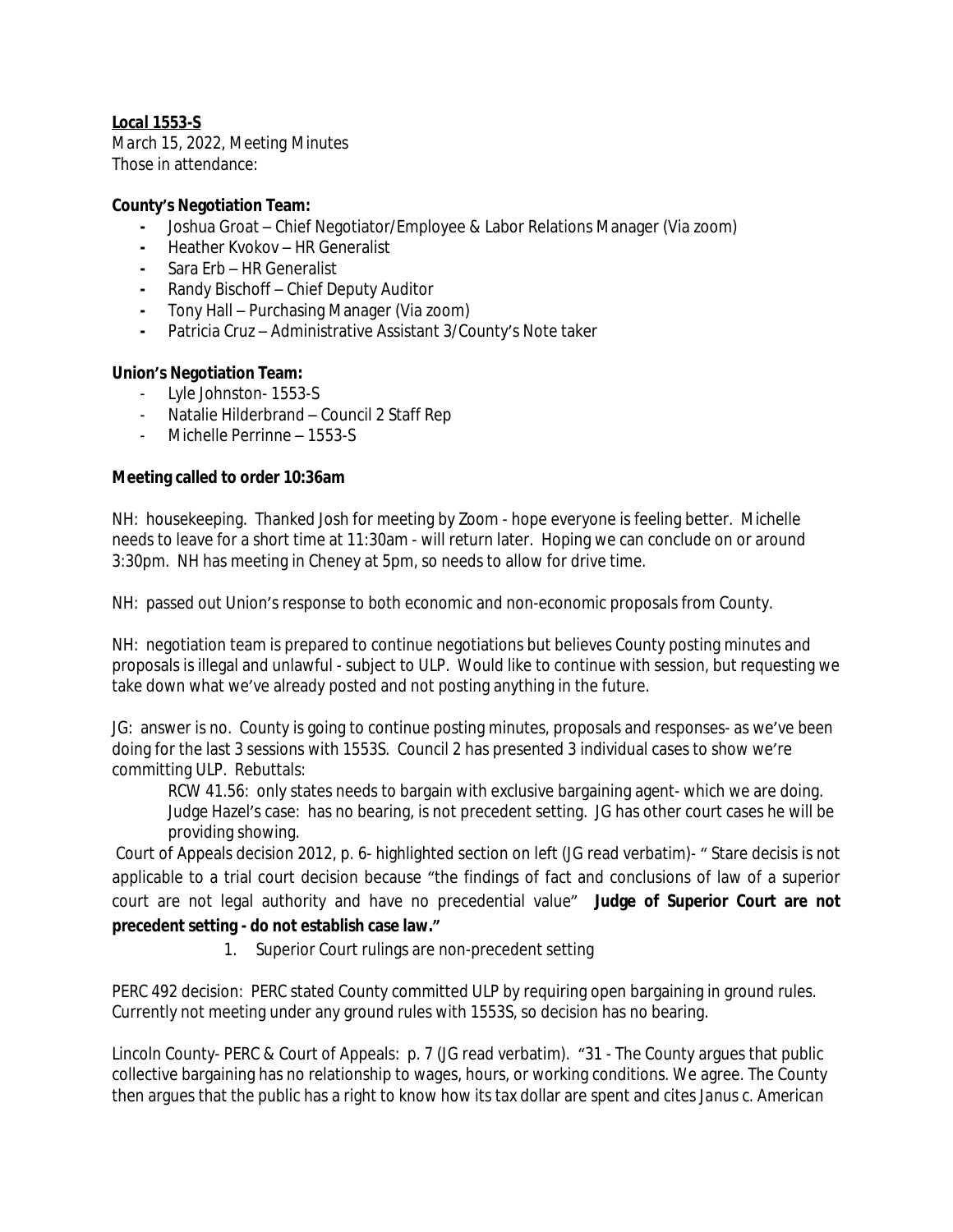## *Local 1553-S*

*March 15, 2022, Meeting Minutes* Those in attendance:

## **County's Negotiation Team:**

- **-** Joshua Groat Chief Negotiator/Employee & Labor Relations Manager (Via zoom)
- **-** Heather Kvokov HR Generalist
- **-** Sara Erb HR Generalist
- **-** Randy Bischoff Chief Deputy Auditor
- **-** Tony Hall Purchasing Manager (Via zoom)
- **-** Patricia Cruz Administrative Assistant 3/County's Note taker

## **Union's Negotiation Team:**

- Lyle Johnston- 1553-S
- Natalie Hilderbrand Council 2 Staff Rep
- Michelle Perrinne 1553-S

## **Meeting called to order 10:36am**

NH: housekeeping. Thanked Josh for meeting by Zoom - hope everyone is feeling better. Michelle needs to leave for a short time at 11:30am - will return later. Hoping we can conclude on or around 3:30pm. NH has meeting in Cheney at 5pm, so needs to allow for drive time.

NH: passed out Union's response to both economic and non-economic proposals from County.

NH: negotiation team is prepared to continue negotiations but believes County posting minutes and proposals is illegal and unlawful - subject to ULP. Would like to continue with session, but requesting we take down what we've already posted and not posting anything in the future.

JG: answer is no. County is going to continue posting minutes, proposals and responses- as we've been doing for the last 3 sessions with 1553S. Council 2 has presented 3 individual cases to show we're committing ULP. Rebuttals:

RCW 41.56: only states needs to bargain with exclusive bargaining agent- which we are doing. Judge Hazel's case: has no bearing, is not precedent setting. JG has other court cases he will be providing showing.

Court of Appeals decision 2012, p. 6- highlighted section on left (JG read verbatim)- " Stare decisis is not applicable to a trial court decision because "the findings of fact and conclusions of law of a superior court are not legal authority and have no precedential value" **Judge of Superior Court are not precedent setting - do not establish case law."**

1. Superior Court rulings are non-precedent setting

PERC 492 decision: PERC stated County committed ULP by requiring open bargaining in ground rules. Currently not meeting under any ground rules with 1553S, so decision has no bearing.

Lincoln County- PERC & Court of Appeals: p. 7 (JG read verbatim). "31 - The County argues that public collective bargaining has no relationship to wages, hours, or working conditions. We agree. The County then argues that the public has a right to know how its tax dollar are spent and cites *Janus c. American*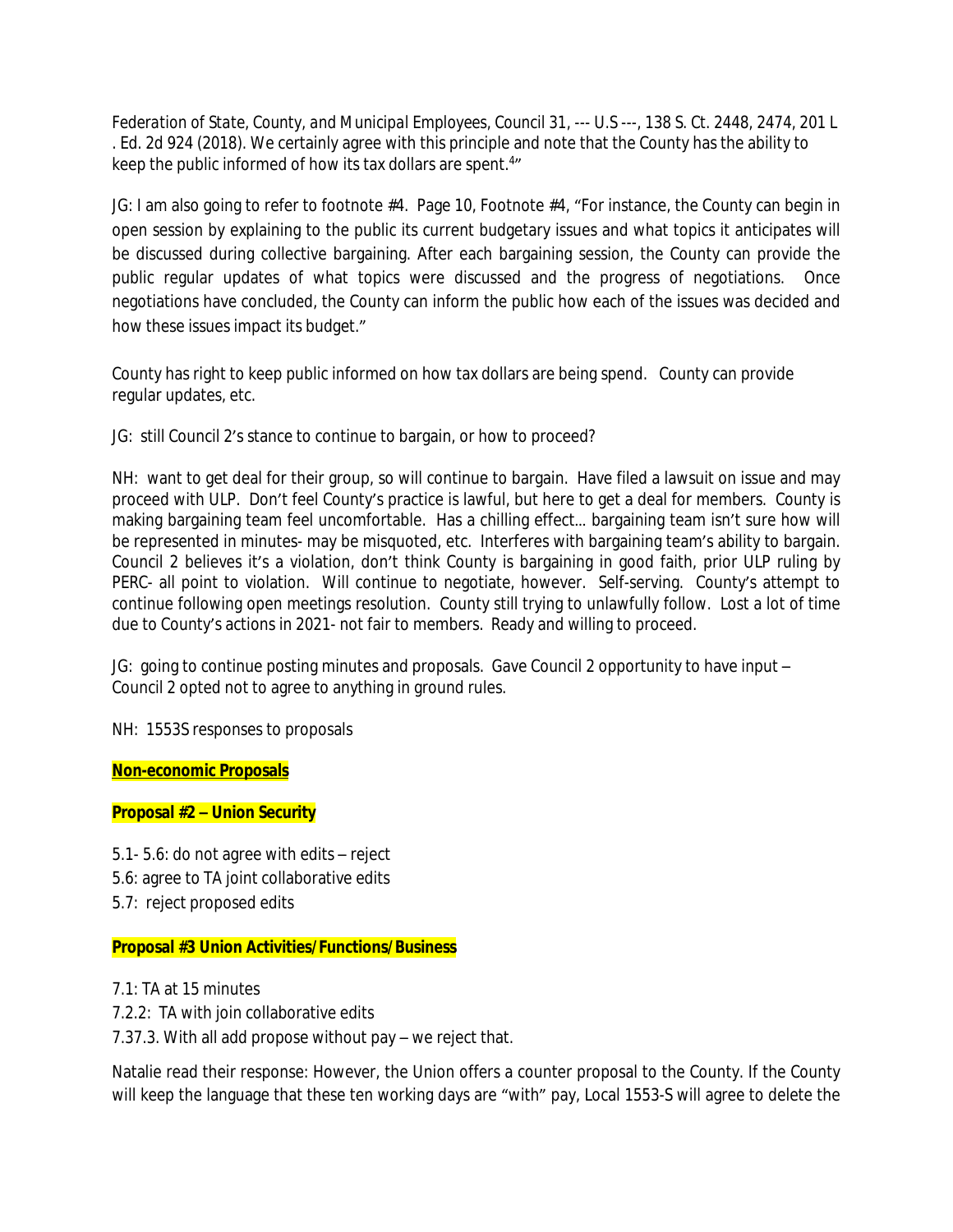*Federation of State, County, and Municipal Employees, Council 31*, --- U.S ---, 138 S. Ct. 2448, 2474, 201 L . Ed. 2d 924 (2018). We certainly agree with this principle and note that the County has the ability to keep the public informed of how its tax dollars are spent.<sup>4</sup>"

JG: I am also going to refer to footnote #4. Page 10, Footnote #4, "For instance, the County can begin in open session by explaining to the public its current budgetary issues and what topics it anticipates will be discussed during collective bargaining. After each bargaining session, the County can provide the public regular updates of what topics were discussed and the progress of negotiations. Once negotiations have concluded, the County can inform the public how each of the issues was decided and how these issues impact its budget."

County has right to keep public informed on how tax dollars are being spend. County can provide regular updates, etc.

JG: still Council 2's stance to continue to bargain, or how to proceed?

NH: want to get deal for their group, so will continue to bargain. Have filed a lawsuit on issue and may proceed with ULP. Don't feel County's practice is lawful, but here to get a deal for members. County is making bargaining team feel uncomfortable. Has a chilling effect… bargaining team isn't sure how will be represented in minutes- may be misquoted, etc. Interferes with bargaining team's ability to bargain. Council 2 believes it's a violation, don't think County is bargaining in good faith, prior ULP ruling by PERC- all point to violation. Will continue to negotiate, however. Self-serving. County's attempt to continue following open meetings resolution. County still trying to unlawfully follow. Lost a lot of time due to County's actions in 2021- not fair to members. Ready and willing to proceed.

JG: going to continue posting minutes and proposals. Gave Council 2 opportunity to have input – Council 2 opted not to agree to anything in ground rules.

NH: 1553S responses to proposals

**Non-economic Proposals**

## **Proposal #2 – Union Security**

5.1- 5.6: do not agree with edits – reject 5.6: agree to TA joint collaborative edits 5.7: reject proposed edits

## **Proposal #3 Union Activities/Functions/Business**

7.1: TA at 15 minutes 7.2.2: TA with join collaborative edits 7.37.3. With all add propose without pay – we reject that.

Natalie read their response: However, the Union offers a counter proposal to the County. If the County will keep the language that these ten working days are "with" pay, Local 1553-S will agree to delete the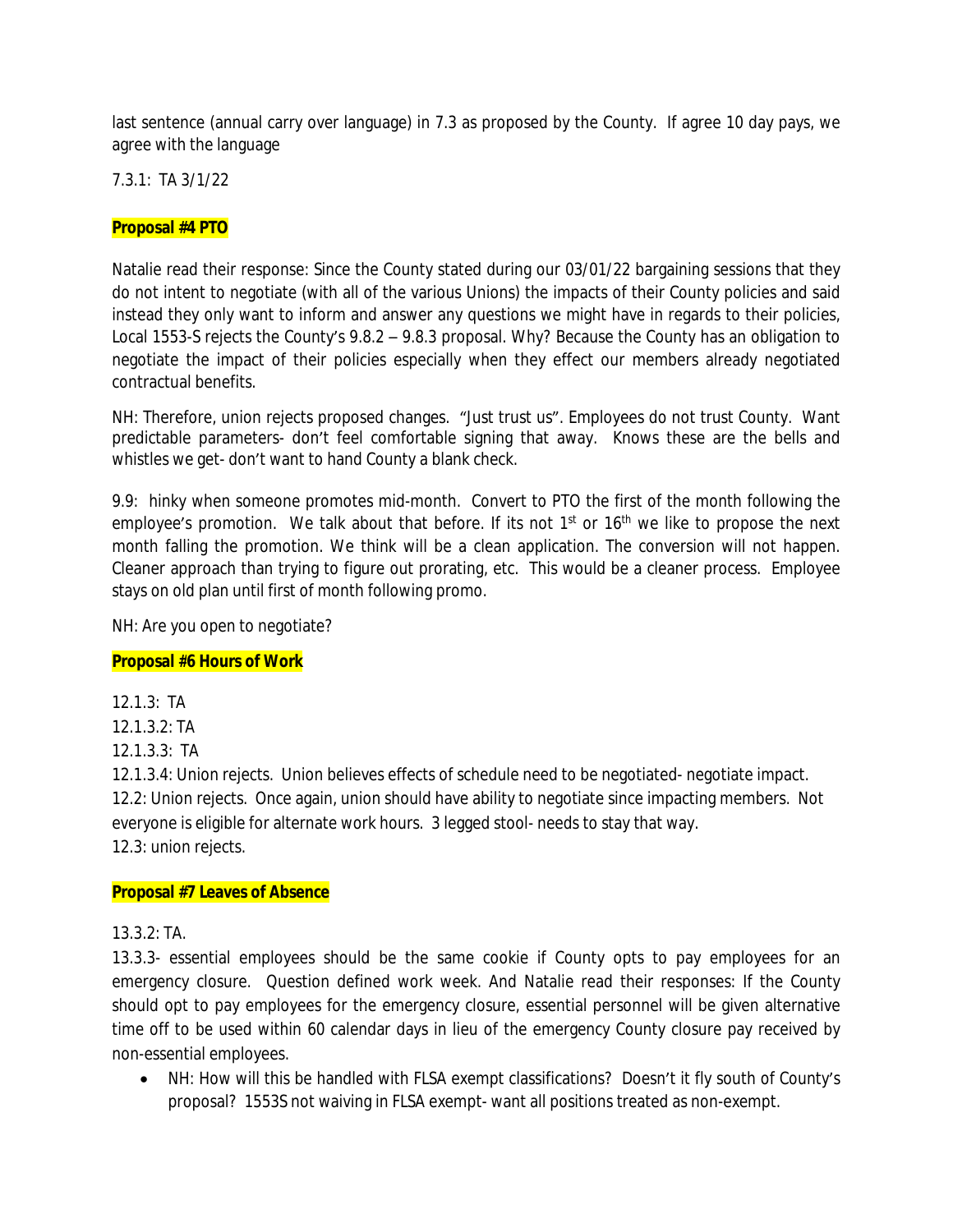last sentence (annual carry over language) in 7.3 as proposed by the County. If agree 10 day pays, we agree with the language

7.3.1: TA 3/1/22

## **Proposal #4 PTO**

Natalie read their response: Since the County stated during our 03/01/22 bargaining sessions that they do not intent to negotiate (with all of the various Unions) the impacts of their County policies and said instead they only want to inform and answer any questions we might have in regards to their policies, Local 1553-S rejects the County's 9.8.2 – 9.8.3 proposal. Why? Because the County has an obligation to negotiate the impact of their policies especially when they effect our members already negotiated contractual benefits.

NH: Therefore, union rejects proposed changes. "Just trust us". Employees do not trust County. Want predictable parameters- don't feel comfortable signing that away. Knows these are the bells and whistles we get- don't want to hand County a blank check.

9.9: hinky when someone promotes mid-month. Convert to PTO the first of the month following the employee's promotion. We talk about that before. If its not 1<sup>st</sup> or 16<sup>th</sup> we like to propose the next month falling the promotion. We think will be a clean application. The conversion will not happen. Cleaner approach than trying to figure out prorating, etc. This would be a cleaner process. Employee stays on old plan until first of month following promo.

NH: Are you open to negotiate?

## **Proposal #6 Hours of Work**

12.1.3: TA 12.1.3.2: TA

12.1.3.3: TA

12.1.3.4: Union rejects. Union believes effects of schedule need to be negotiated- negotiate impact. 12.2: Union rejects. Once again, union should have ability to negotiate since impacting members. Not everyone is eligible for alternate work hours. 3 legged stool- needs to stay that way. 12.3: union rejects.

## **Proposal #7 Leaves of Absence**

 $13.3.2 \cdot TA$ 

13.3.3- essential employees should be the same cookie if County opts to pay employees for an emergency closure. Question defined work week. And Natalie read their responses: If the County should opt to pay employees for the emergency closure, essential personnel will be given alternative time off to be used within 60 calendar days in lieu of the emergency County closure pay received by non-essential employees.

 NH: How will this be handled with FLSA exempt classifications? Doesn't it fly south of County's proposal? 1553S not waiving in FLSA exempt- want all positions treated as non-exempt.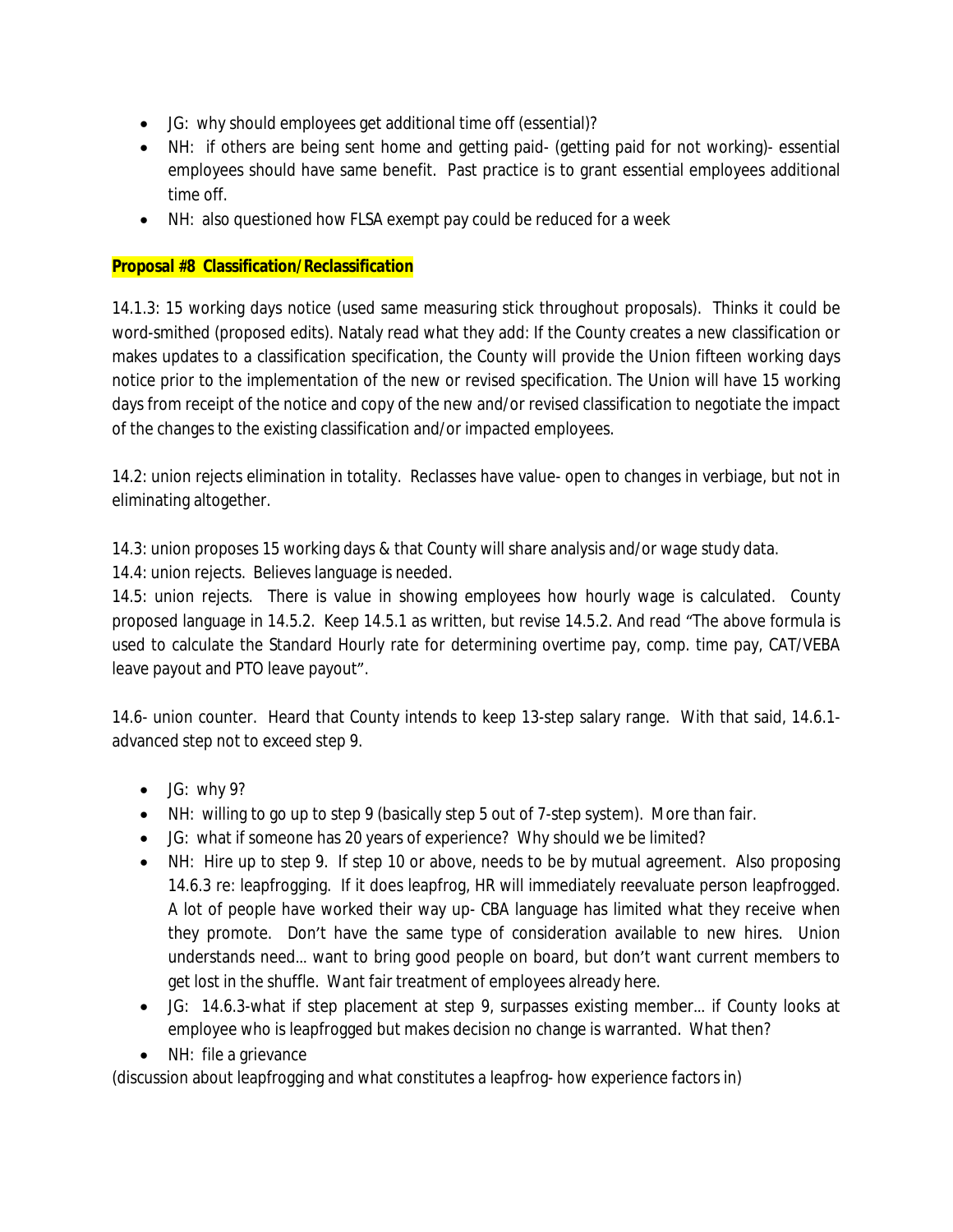- JG: why should employees get additional time off (essential)?
- NH: if others are being sent home and getting paid- (getting paid for not working)- essential employees should have same benefit. Past practice is to grant essential employees additional time off.
- NH: also questioned how FLSA exempt pay could be reduced for a week

## **Proposal #8 Classification/Reclassification**

14.1.3: 15 working days notice (used same measuring stick throughout proposals). Thinks it could be word-smithed (proposed edits). Nataly read what they add: If the County creates a new classification or makes updates to a classification specification, the County will provide the Union fifteen working days notice prior to the implementation of the new or revised specification. The Union will have 15 working days from receipt of the notice and copy of the new and/or revised classification to negotiate the impact of the changes to the existing classification and/or impacted employees.

14.2: union rejects elimination in totality. Reclasses have value- open to changes in verbiage, but not in eliminating altogether.

14.3: union proposes 15 working days & that County will share analysis and/or wage study data.

14.4: union rejects. Believes language is needed.

14.5: union rejects. There is value in showing employees how hourly wage is calculated. County proposed language in 14.5.2. Keep 14.5.1 as written, but revise 14.5.2. And read "The above formula is used to calculate the Standard Hourly rate for determining overtime pay, comp. time pay, CAT/VEBA leave payout and PTO leave payout".

14.6- union counter. Heard that County intends to keep 13-step salary range. With that said, 14.6.1 advanced step not to exceed step 9.

- $\bullet$  JG: why 9?
- NH: willing to go up to step 9 (basically step 5 out of 7-step system). More than fair.
- JG: what if someone has 20 years of experience? Why should we be limited?
- NH: Hire up to step 9. If step 10 or above, needs to be by mutual agreement. Also proposing 14.6.3 re: leapfrogging. If it does leapfrog, HR will immediately reevaluate person leapfrogged. A lot of people have worked their way up- CBA language has limited what they receive when they promote. Don't have the same type of consideration available to new hires. Union understands need… want to bring good people on board, but don't want current members to get lost in the shuffle. Want fair treatment of employees already here.
- JG: 14.6.3-what if step placement at step 9, surpasses existing member… if County looks at employee who is leapfrogged but makes decision no change is warranted. What then?
- NH: file a grievance

(discussion about leapfrogging and what constitutes a leapfrog- how experience factors in)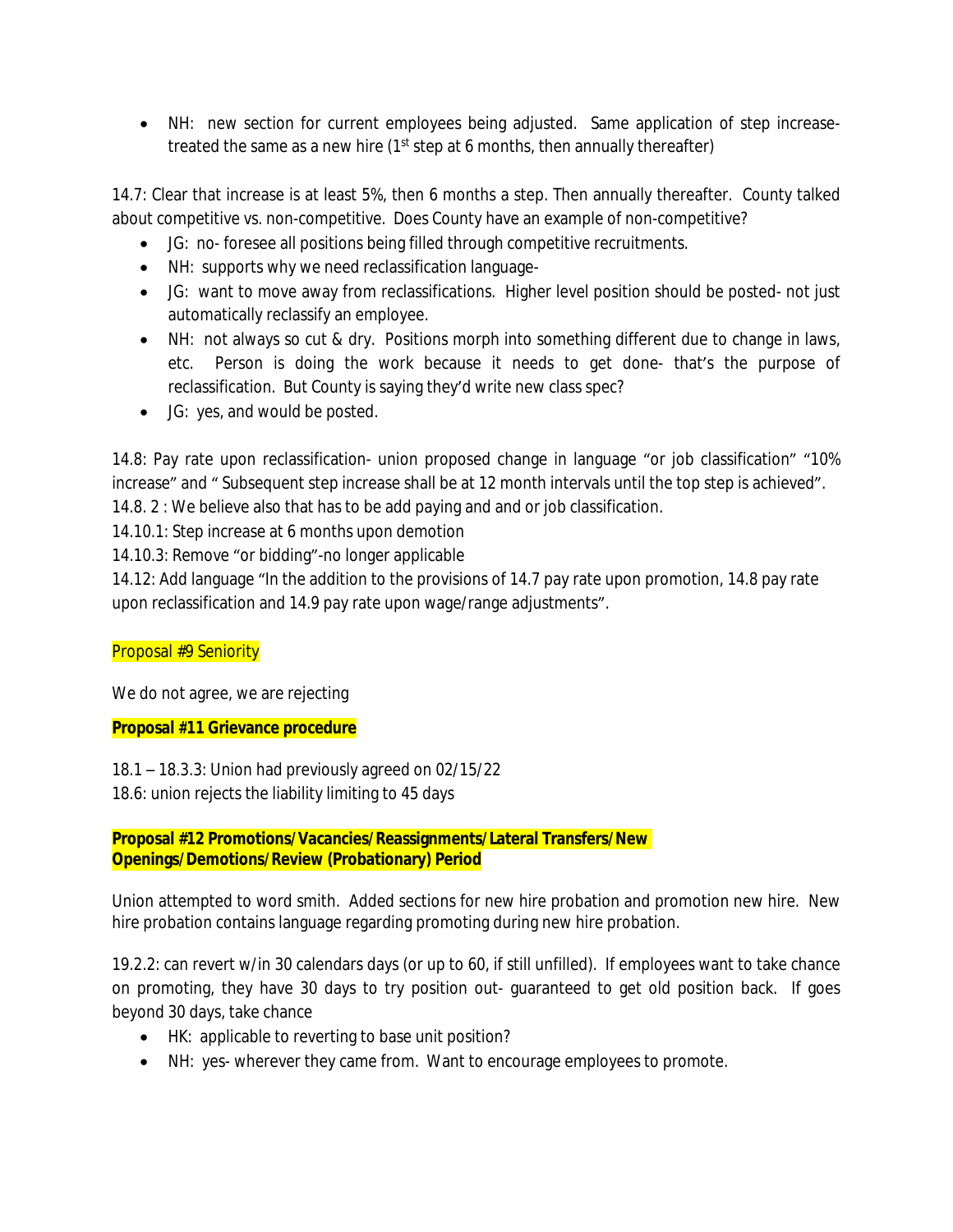NH: new section for current employees being adjusted. Same application of step increasetreated the same as a new hire (1<sup>st</sup> step at 6 months, then annually thereafter)

14.7: Clear that increase is at least 5%, then 6 months a step. Then annually thereafter. County talked about competitive vs. non-competitive. Does County have an example of non-competitive?

- JG: no- foresee all positions being filled through competitive recruitments.
- NH: supports why we need reclassification language-
- JG: want to move away from reclassifications. Higher level position should be posted- not just automatically reclassify an employee.
- NH: not always so cut & dry. Positions morph into something different due to change in laws, etc. Person is doing the work because it needs to get done- that's the purpose of reclassification. But County is saying they'd write new class spec?
- JG: yes, and would be posted.

14.8: Pay rate upon reclassification- union proposed change in language "or job classification" "10% increase" and " Subsequent step increase shall be at 12 month intervals until the top step is achieved".

- 14.8. 2 : We believe also that has to be add paying and and or job classification.
- 14.10.1: Step increase at 6 months upon demotion

# 14.10.3: Remove "or bidding"-no longer applicable

14.12: Add language "In the addition to the provisions of 14.7 pay rate upon promotion, 14.8 pay rate upon reclassification and 14.9 pay rate upon wage/range adjustments".

# Proposal #9 Seniority

We do not agree, we are rejecting

## **Proposal #11 Grievance procedure**

18.1 – 18.3.3: Union had previously agreed on 02/15/22 18.6: union rejects the liability limiting to 45 days

## **Proposal #12 Promotions/Vacancies/Reassignments/Lateral Transfers/New Openings/Demotions/Review (Probationary) Period**

Union attempted to word smith. Added sections for new hire probation and promotion new hire. New hire probation contains language regarding promoting during new hire probation.

19.2.2: can revert w/in 30 calendars days (or up to 60, if still unfilled). If employees want to take chance on promoting, they have 30 days to try position out- guaranteed to get old position back. If goes beyond 30 days, take chance

- HK: applicable to reverting to base unit position?
- NH: yes- wherever they came from. Want to encourage employees to promote.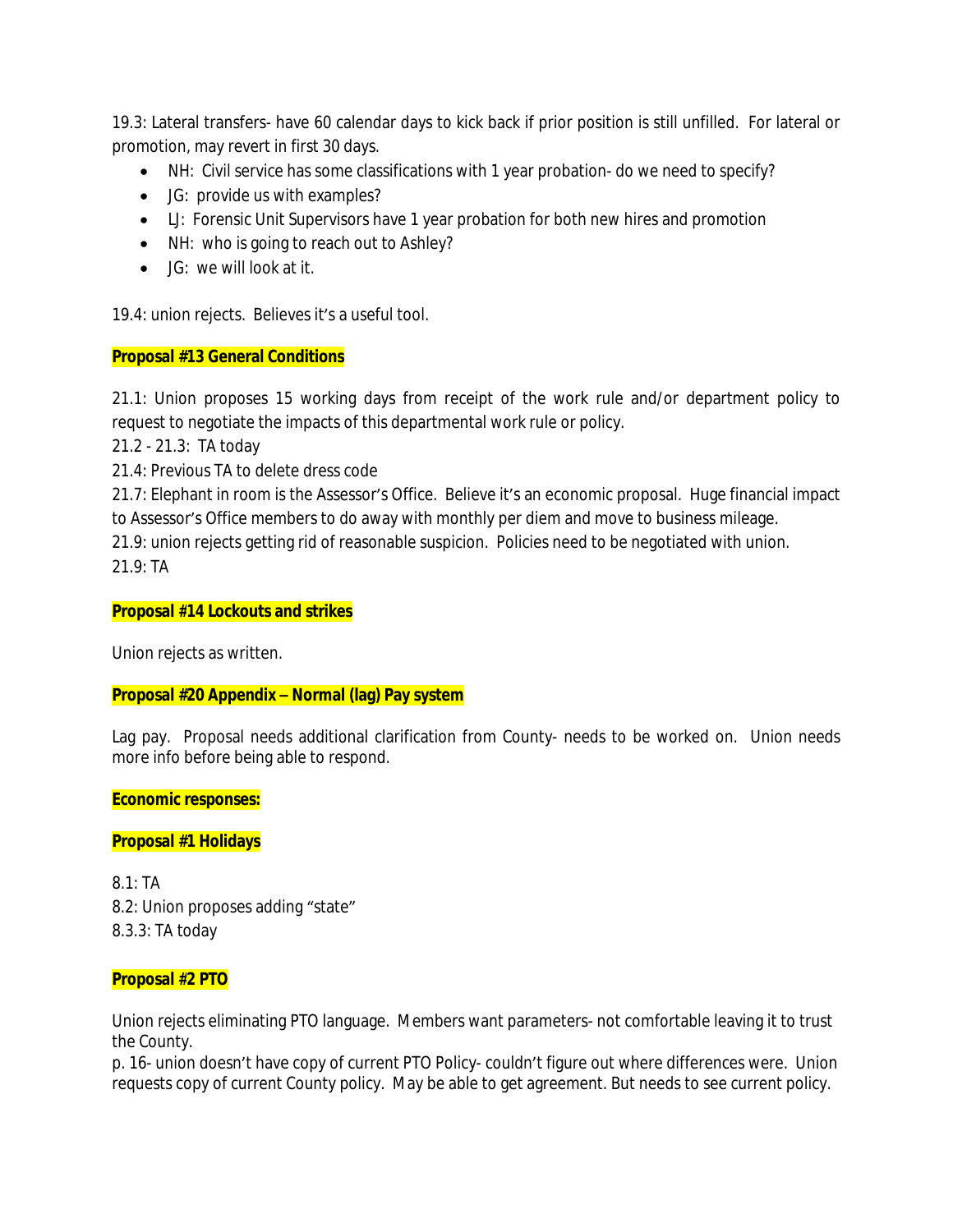19.3: Lateral transfers- have 60 calendar days to kick back if prior position is still unfilled. For lateral or promotion, may revert in first 30 days.

- NH: Civil service has some classifications with 1 year probation- do we need to specify?
- JG: provide us with examples?
- LJ: Forensic Unit Supervisors have 1 year probation for both new hires and promotion
- NH: who is going to reach out to Ashley?
- JG: we will look at it.

19.4: union rejects. Believes it's a useful tool.

# **Proposal #13 General Conditions**

21.1: Union proposes 15 working days from receipt of the work rule and/or department policy to request to negotiate the impacts of this departmental work rule or policy.

21.2 - 21.3: TA today

21.4: Previous TA to delete dress code

21.7: Elephant in room is the Assessor's Office. Believe it's an economic proposal. Huge financial impact to Assessor's Office members to do away with monthly per diem and move to business mileage.

21.9: union rejects getting rid of reasonable suspicion. Policies need to be negotiated with union. 21.9: TA

## **Proposal #14 Lockouts and strikes**

Union rejects as written.

## **Proposal #20 Appendix – Normal (lag) Pay system**

Lag pay. Proposal needs additional clarification from County- needs to be worked on. Union needs more info before being able to respond.

## **Economic responses:**

## **Proposal #1 Holidays**

8.1: TA 8.2: Union proposes adding "state" 8.3.3: TA today

## **Proposal #2 PTO**

Union rejects eliminating PTO language. Members want parameters- not comfortable leaving it to trust the County.

p. 16- union doesn't have copy of current PTO Policy- couldn't figure out where differences were. Union requests copy of current County policy. May be able to get agreement. But needs to see current policy.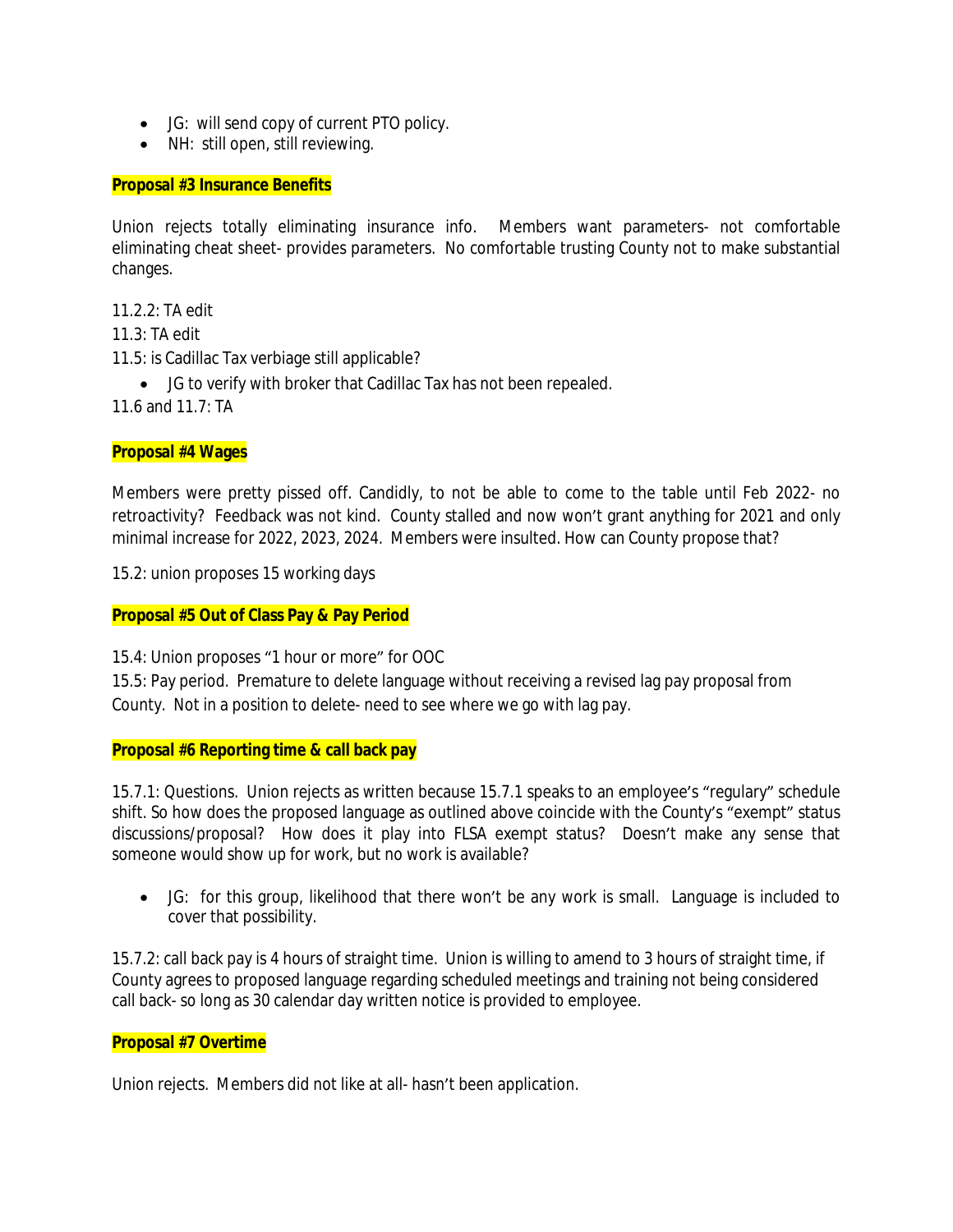- JG: will send copy of current PTO policy.
- NH: still open, still reviewing.

#### **Proposal #3 Insurance Benefits**

Union rejects totally eliminating insurance info. Members want parameters- not comfortable eliminating cheat sheet- provides parameters. No comfortable trusting County not to make substantial changes.

11.2.2: TA edit

11.3: TA edit

11.5: is Cadillac Tax verbiage still applicable?

JG to verify with broker that Cadillac Tax has not been repealed.

11.6 and 11.7: TA

#### **Proposal #4 Wages**

Members were pretty pissed off. Candidly, to not be able to come to the table until Feb 2022- no retroactivity? Feedback was not kind. County stalled and now won't grant anything for 2021 and only minimal increase for 2022, 2023, 2024. Members were insulted. How can County propose that?

15.2: union proposes 15 working days

**Proposal #5 Out of Class Pay & Pay Period**

15.4: Union proposes "1 hour or more" for OOC

15.5: Pay period. Premature to delete language without receiving a revised lag pay proposal from County. Not in a position to delete- need to see where we go with lag pay.

**Proposal #6 Reporting time & call back pay**

15.7.1: Questions. Union rejects as written because 15.7.1 speaks to an employee's "regulary" schedule shift. So how does the proposed language as outlined above coincide with the County's "exempt" status discussions/proposal? How does it play into FLSA exempt status? Doesn't make any sense that someone would show up for work, but no work is available?

 JG: for this group, likelihood that there won't be any work is small. Language is included to cover that possibility.

15.7.2: call back pay is 4 hours of straight time. Union is willing to amend to 3 hours of straight time, if County agrees to proposed language regarding scheduled meetings and training not being considered call back- so long as 30 calendar day written notice is provided to employee.

## **Proposal #7 Overtime**

Union rejects. Members did not like at all- hasn't been application.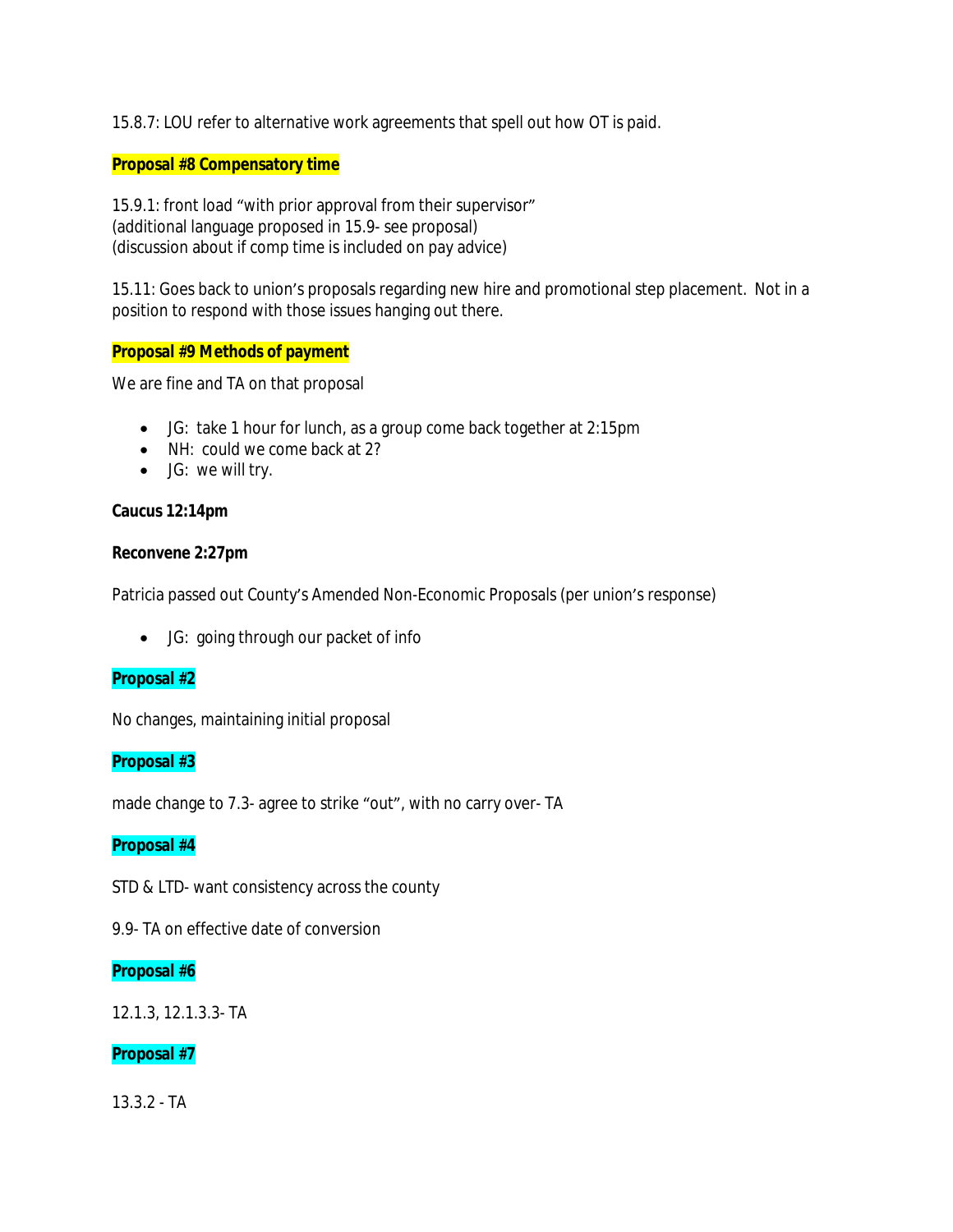15.8.7: LOU refer to alternative work agreements that spell out how OT is paid.

### **Proposal #8 Compensatory time**

15.9.1: front load "with prior approval from their supervisor" (additional language proposed in 15.9- see proposal) (discussion about if comp time is included on pay advice)

15.11: Goes back to union's proposals regarding new hire and promotional step placement. Not in a position to respond with those issues hanging out there.

## **Proposal #9 Methods of payment**

We are fine and TA on that proposal

- JG: take 1 hour for lunch, as a group come back together at 2:15pm
- NH: could we come back at 2?
- JG: we will try.

#### **Caucus 12:14pm**

#### **Reconvene 2:27pm**

Patricia passed out County's Amended Non-Economic Proposals (per union's response)

JG: going through our packet of info

## **Proposal #2**

No changes, maintaining initial proposal

## **Proposal #3**

made change to 7.3- agree to strike "out", with no carry over- TA

## **Proposal #4**

STD & LTD- want consistency across the county

9.9- TA on effective date of conversion

#### **Proposal #6**

12.1.3, 12.1.3.3- TA

## **Proposal #7**

13.3.2 - TA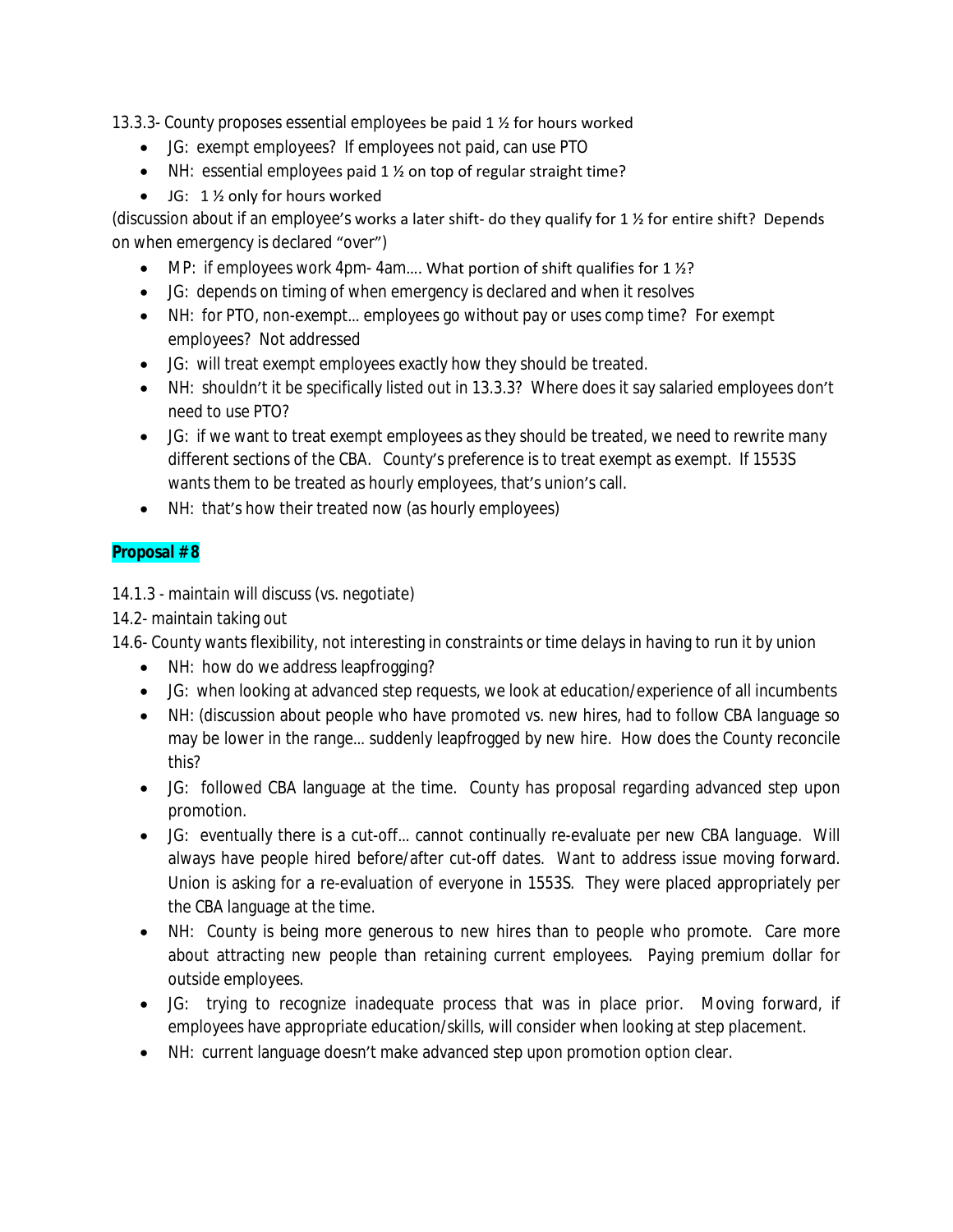13.3.3- County proposes essential employees be paid 1 ½ for hours worked

- JG: exempt employees? If employees not paid, can use PTO
- NH: essential employees paid 1 % on top of regular straight time?
- $\bullet$  JG: 1 % only for hours worked

(discussion about if an employee's works a later shift- do they qualify for 1 ½ for entire shift? Depends on when emergency is declared "over")

- $\bullet$  MP: if employees work 4pm-4am.... What portion of shift qualifies for 1  $\frac{1}{2}$ ?
- JG: depends on timing of when emergency is declared and when it resolves
- NH: for PTO, non-exempt... employees go without pay or uses comp time? For exempt employees? Not addressed
- JG: will treat exempt employees exactly how they should be treated.
- NH: shouldn't it be specifically listed out in 13.3.3? Where does it say salaried employees don't need to use PTO?
- JG: if we want to treat exempt employees as they should be treated, we need to rewrite many different sections of the CBA. County's preference is to treat exempt as exempt. If 1553S wants them to be treated as hourly employees, that's union's call.
- NH: that's how their treated now (as hourly employees)

# **Proposal # 8**

14.1.3 - maintain will discuss (vs. negotiate)

14.2- maintain taking out

14.6- County wants flexibility, not interesting in constraints or time delays in having to run it by union

- NH: how do we address leapfrogging?
- JG: when looking at advanced step requests, we look at education/experience of all incumbents
- NH: (discussion about people who have promoted vs. new hires, had to follow CBA language so may be lower in the range… suddenly leapfrogged by new hire. How does the County reconcile this?
- JG: followed CBA language at the time. County has proposal regarding advanced step upon promotion.
- JG: eventually there is a cut-off… cannot continually re-evaluate per new CBA language. Will always have people hired before/after cut-off dates. Want to address issue moving forward. Union is asking for a re-evaluation of everyone in 1553S. They were placed appropriately per the CBA language at the time.
- NH: County is being more generous to new hires than to people who promote. Care more about attracting new people than retaining current employees. Paying premium dollar for outside employees.
- JG: trying to recognize inadequate process that was in place prior. Moving forward, if employees have appropriate education/skills, will consider when looking at step placement.
- NH: current language doesn't make advanced step upon promotion option clear.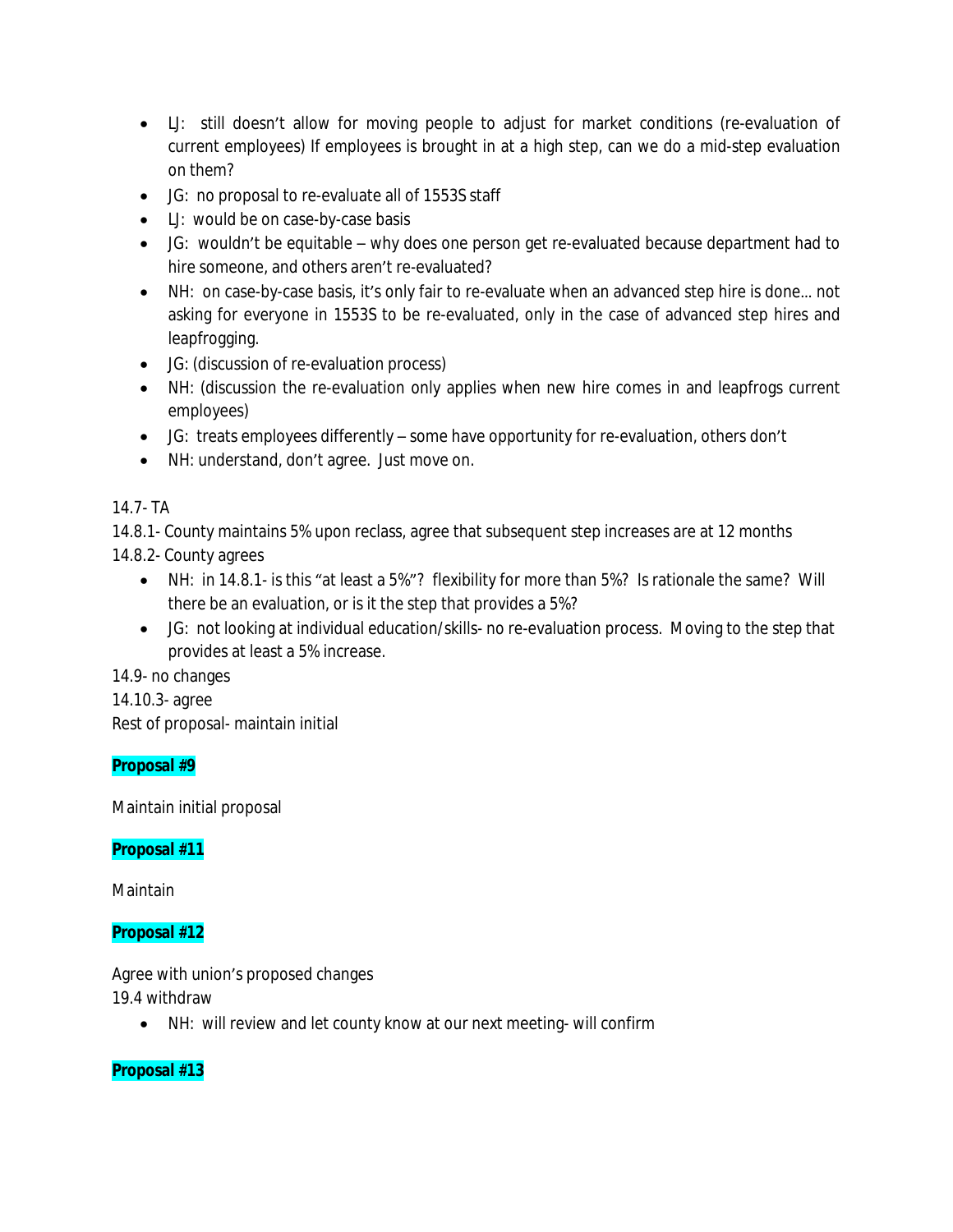- LJ: still doesn't allow for moving people to adjust for market conditions (re-evaluation of current employees) If employees is brought in at a high step, can we do a mid-step evaluation on them?
- JG: no proposal to re-evaluate all of 1553S staff
- LJ: would be on case-by-case basis
- JG: wouldn't be equitable why does one person get re-evaluated because department had to hire someone, and others aren't re-evaluated?
- NH: on case-by-case basis, it's only fair to re-evaluate when an advanced step hire is done… not asking for everyone in 1553S to be re-evaluated, only in the case of advanced step hires and leapfrogging.
- JG: (discussion of re-evaluation process)
- NH: (discussion the re-evaluation only applies when new hire comes in and leapfrogs current employees)
- JG: treats employees differently some have opportunity for re-evaluation, others don't
- NH: understand, don't agree. Just move on.

# 14.7- TA

14.8.1- County maintains 5% upon reclass, agree that subsequent step increases are at 12 months 14.8.2- County agrees

- NH: in 14.8.1- is this "at least a 5%"? flexibility for more than 5%? Is rationale the same? Will there be an evaluation, or is it the step that provides a 5%?
- JG: not looking at individual education/skills- no re-evaluation process. Moving to the step that provides at least a 5% increase.

14.9- no changes

14.10.3- agree

Rest of proposal- maintain initial

# **Proposal #9**

Maintain initial proposal

# **Proposal #11**

Maintain

**Proposal #12**

Agree with union's proposed changes

19.4 withdraw

NH: will review and let county know at our next meeting- will confirm

**Proposal #13**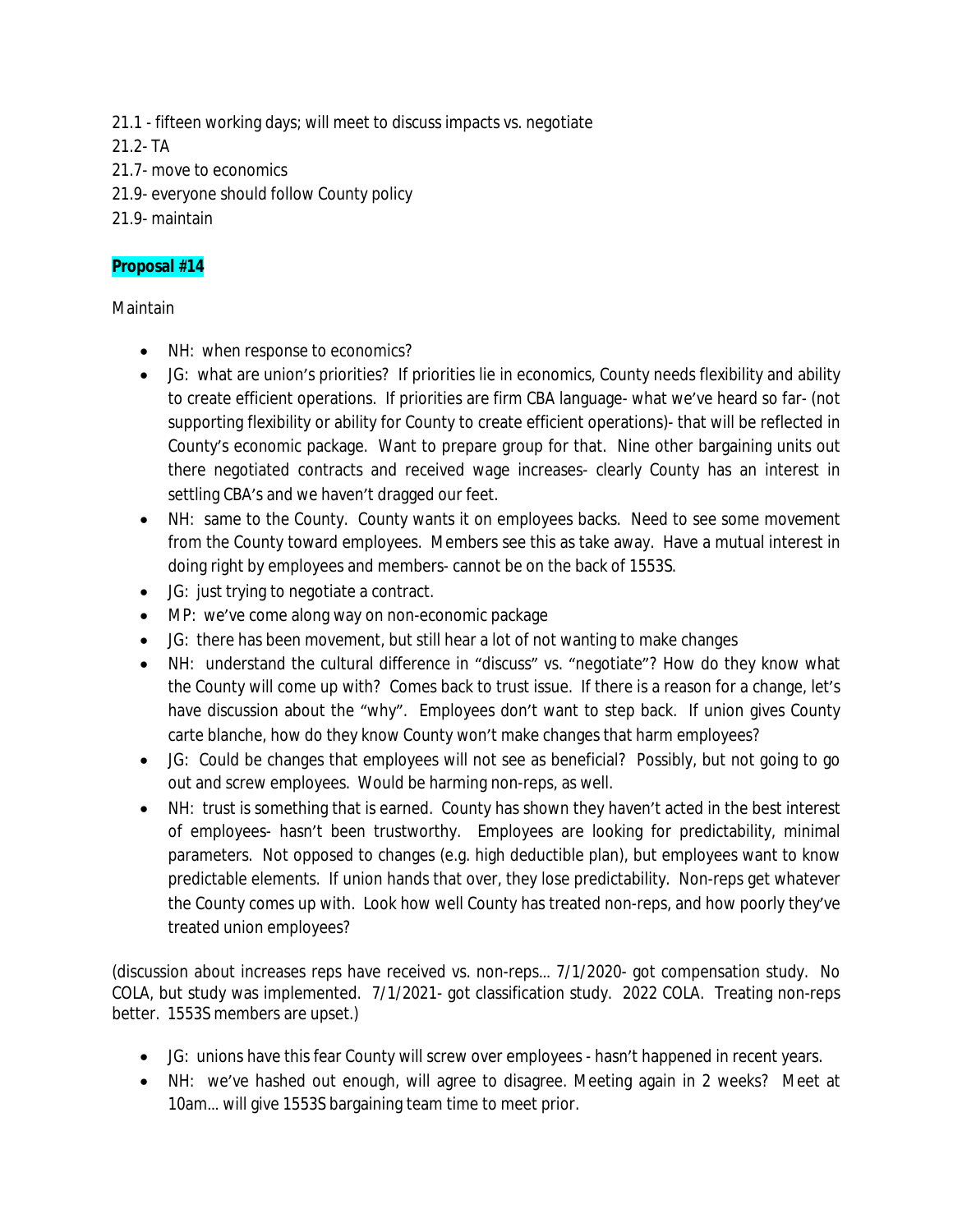21.1 - fifteen working days; will meet to discuss impacts vs. negotiate

21.2- TA

- 21.7- move to economics
- 21.9- everyone should follow County policy
- 21.9- maintain

# **Proposal #14**

Maintain

- NH: when response to economics?
- JG: what are union's priorities? If priorities lie in economics, County needs flexibility and ability to create efficient operations. If priorities are firm CBA language- what we've heard so far- (not supporting flexibility or ability for County to create efficient operations)- that will be reflected in County's economic package. Want to prepare group for that. Nine other bargaining units out there negotiated contracts and received wage increases- clearly County has an interest in settling CBA's and we haven't dragged our feet.
- NH: same to the County. County wants it on employees backs. Need to see some movement from the County toward employees. Members see this as take away. Have a mutual interest in doing right by employees and members- cannot be on the back of 1553S.
- JG: just trying to negotiate a contract.
- MP: we've come along way on non-economic package
- JG: there has been movement, but still hear a lot of not wanting to make changes
- NH: understand the cultural difference in "discuss" vs. "negotiate"? How do they know what the County will come up with? Comes back to trust issue. If there is a reason for a change, let's have discussion about the "why". Employees don't want to step back. If union gives County carte blanche, how do they know County won't make changes that harm employees?
- JG: Could be changes that employees will not see as beneficial? Possibly, but not going to go out and screw employees. Would be harming non-reps, as well.
- NH: trust is something that is earned. County has shown they haven't acted in the best interest of employees- hasn't been trustworthy. Employees are looking for predictability, minimal parameters. Not opposed to changes (e.g. high deductible plan), but employees want to know predictable elements. If union hands that over, they lose predictability. Non-reps get whatever the County comes up with. Look how well County has treated non-reps, and how poorly they've treated union employees?

(discussion about increases reps have received vs. non-reps… 7/1/2020- got compensation study. No COLA, but study was implemented. 7/1/2021- got classification study. 2022 COLA. Treating non-reps better. 1553S members are upset.)

- JG: unions have this fear County will screw over employees hasn't happened in recent years.
- NH: we've hashed out enough, will agree to disagree. Meeting again in 2 weeks? Meet at 10am… will give 1553S bargaining team time to meet prior.